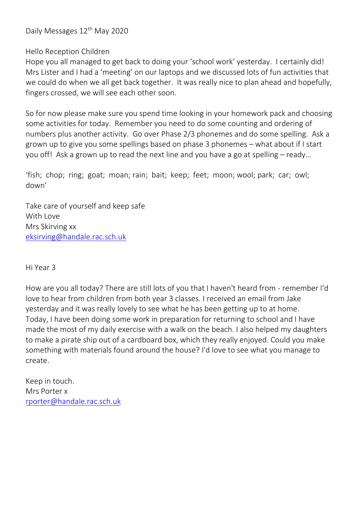Daily Messages 12<sup>th</sup> May 2020

Hello Reception Children

Hope you all managed to get back to doing your 'school work' yesterday. I certainly did! Mrs Lister and I had a 'meeting' on our laptops and we discussed lots of fun activities that we could do when we all get back together. It was really nice to plan ahead and hopefully, fingers crossed, we will see each other soon.

So for now please make sure you spend time looking in your homework pack and choosing some activities for today. Remember you need to do some counting and ordering of numbers plus another activity. Go over Phase 2/3 phonemes and do some spelling. Ask a grown up to give you some spellings based on phase 3 phonemes – what about if I start you off! Ask a grown up to read the next line and you have a go at spelling – ready…

'fish; chop; ring; goat; moan; rain; bait; keep; feet; moon; wool; park; car; owl; down'

Take care of yourself and keep safe With Love Mrs Skirving xx [eksirving@handale.rac.sch.uk](mailto:eksirving@handale.rac.sch.uk)

Hi Year 3

How are you all today? There are still lots of you that I haven't heard from - remember I'd love to hear from children from both year 3 classes. I received an email from Jake yesterday and it was really lovely to see what he has been getting up to at home. Today, I have been doing some work in preparation for returning to school and I have made the most of my daily exercise with a walk on the beach. I also helped my daughters to make a pirate ship out of a cardboard box, which they really enjoyed. Could you make something with materials found around the house? I'd love to see what you manage to create.

Keep in touch. Mrs Porter x [rporter@handale.rac.sch.uk](mailto:rporter@handale.rac.sch.uk)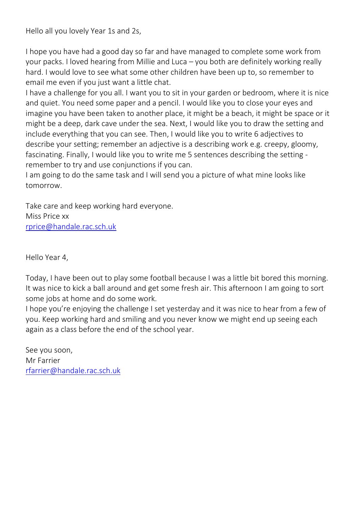Hello all you lovely Year 1s and 2s,

I hope you have had a good day so far and have managed to complete some work from your packs. I loved hearing from Millie and Luca – you both are definitely working really hard. I would love to see what some other children have been up to, so remember to email me even if you just want a little chat.

I have a challenge for you all. I want you to sit in your garden or bedroom, where it is nice and quiet. You need some paper and a pencil. I would like you to close your eyes and imagine you have been taken to another place, it might be a beach, it might be space or it might be a deep, dark cave under the sea. Next, I would like you to draw the setting and include everything that you can see. Then, I would like you to write 6 adjectives to describe your setting; remember an adjective is a describing work e.g. creepy, gloomy, fascinating. Finally, I would like you to write me 5 sentences describing the setting remember to try and use conjunctions if you can.

I am going to do the same task and I will send you a picture of what mine looks like tomorrow.

Take care and keep working hard everyone. Miss Price xx [rprice@handale.rac.sch.uk](mailto:rprice@handale.rac.sch.uk)

Hello Year 4,

Today, I have been out to play some football because I was a little bit bored this morning. It was nice to kick a ball around and get some fresh air. This afternoon I am going to sort some jobs at home and do some work.

I hope you're enjoying the challenge I set yesterday and it was nice to hear from a few of you. Keep working hard and smiling and you never know we might end up seeing each again as a class before the end of the school year.

See you soon, Mr Farrier [rfarrier@handale.rac.sch.uk](mailto:rfarrier@handale.rac.sch.uk)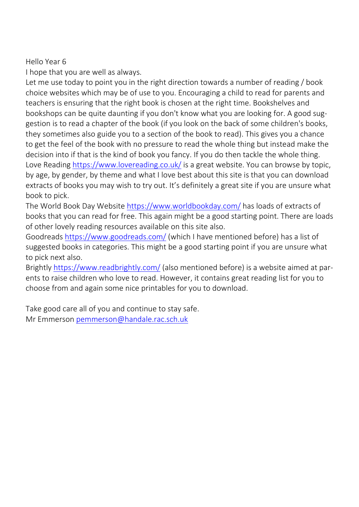## Hello Year 6

I hope that you are well as always.

Let me use today to point you in the right direction towards a number of reading / book choice websites which may be of use to you. Encouraging a child to read for parents and teachers is ensuring that the right book is chosen at the right time. Bookshelves and bookshops can be quite daunting if you don't know what you are looking for. A good suggestion is to read a chapter of the book (if you look on the back of some children's books, they sometimes also guide you to a section of the book to read). This gives you a chance to get the feel of the book with no pressure to read the whole thing but instead make the decision into if that is the kind of book you fancy. If you do then tackle the whole thing. Love Reading <https://www.lovereading.co.uk/> is a great website. You can browse by topic, by age, by gender, by theme and what I love best about this site is that you can download extracts of books you may wish to try out. It's definitely a great site if you are unsure what book to pick.

The World Book Day Website <https://www.worldbookday.com/> has loads of extracts of books that you can read for free. This again might be a good starting point. There are loads of other lovely reading resources available on this site also.

Goodreads <https://www.goodreads.com/> (which I have mentioned before) has a list of suggested books in categories. This might be a good starting point if you are unsure what to pick next also.

Brightly <https://www.readbrightly.com/> (also mentioned before) is a website aimed at parents to raise children who love to read. However, it contains great reading list for you to choose from and again some nice printables for you to download.

Take good care all of you and continue to stay safe. Mr Emmerson [pemmerson@handale.rac.sch.uk](mailto:pemmerson@handale.rac.sch.uk)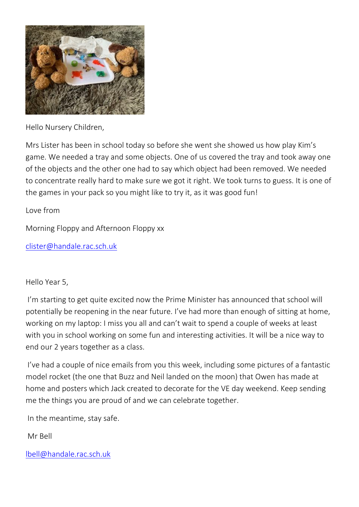

Hello Nursery Children,

Mrs Lister has been in school today so before she went she showed us how play Kim's game. We needed a tray and some objects. One of us covered the tray and took away one of the objects and the other one had to say which object had been removed. We needed to concentrate really hard to make sure we got it right. We took turns to guess. It is one of the games in your pack so you might like to try it, as it was good fun!

Love from

Morning Floppy and Afternoon Floppy xx

[clister@handale.rac.sch.uk](mailto:clister@handale.rac.sch.uk)

## Hello Year 5,

I'm starting to get quite excited now the Prime Minister has announced that school will potentially be reopening in the near future. I've had more than enough of sitting at home, working on my laptop: I miss you all and can't wait to spend a couple of weeks at least with you in school working on some fun and interesting activities. It will be a nice way to end our 2 years together as a class.

I've had a couple of nice emails from you this week, including some pictures of a fantastic model rocket (the one that Buzz and Neil landed on the moon) that Owen has made at home and posters which Jack created to decorate for the VE day weekend. Keep sending me the things you are proud of and we can celebrate together.

In the meantime, stay safe.

Mr Bell

[lbell@handale.rac.sch.uk](mailto:lbell@handale.rac.sch.uk)